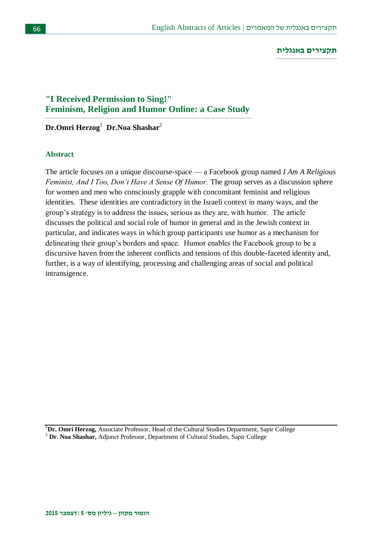#### **תקצירים באנגלית**

## **"I Received Permission to Sing!" Feminism, Religion and Humor Online: a Case Study**

## **Dr.Omri Herzog**<sup>1</sup> **Dr.Noa Shashar**<sup>2</sup>

#### **Abstract**

The article focuses on a unique discourse-space — a Facebook group named *I Am A Religious Feminist, And I Too, Don't Have A Sense Of Humor.* The group serves as a discussion sphere for women and men who consciously grapple with concomitant feminist and religious identities. These identities are contradictory in the Israeli context in many ways, and the group's strategy is to address the issues, serious as they are, with humor. The article discusses the political and social role of humor in general and in the Jewish context in particular, and indicates ways in which group participants use humor as a mechanism for delineating their group's borders and space. Humor enables the Facebook group to be a discursive haven from the inherent conflicts and tensions of this double-faceted identity and, further, is a way of identifying, processing and challenging areas of social and political intransigence.

<sup>1</sup>Dr. Omri Herzog, Associate Professor, Head of the Cultural Studies Department, Sapir College <sup>2</sup> **Dr**. **Noa Shashar,** Adjunct Professor, Department of Cultural Studies, Sapir College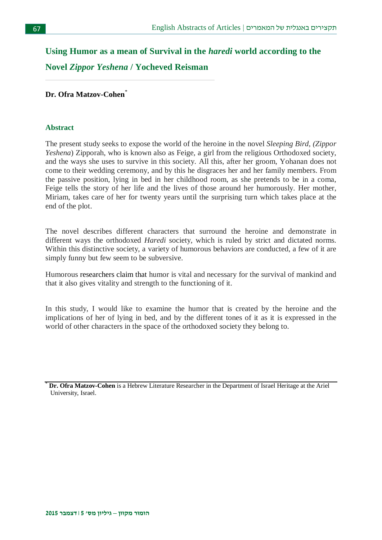# **Using Humor as a mean of Survival in the** *haredi* **world according to the Novel** *Zippor Yeshena* **/ Yocheved Reisman**

### **Dr. Ofra Matzov-Cohen**\*

#### **Abstract**

The present study seeks to expose the world of the heroine in the novel *Sleeping Bird*, *(Zippor Yeshena*) Zipporah, who is known also as Feige, a girl from the religious Orthodoxed society, and the ways she uses to survive in this society. All this, after her groom, Yohanan does not come to their wedding ceremony, and by this he disgraces her and her family members. From the passive position, lying in bed in her childhood room, as she pretends to be in a coma, Feige tells the story of her life and the lives of those around her humorously. Her mother, Miriam, takes care of her for twenty years until the surprising turn which takes place at the end of the plot.

The novel describes different characters that surround the heroine and demonstrate in different ways the orthodoxed *Haredi* society, which is ruled by strict and dictated norms. Within this distinctive society, a variety of humorous behaviors are conducted, a few of it are simply funny but few seem to be subversive.

Humorous researchers claim that humor is vital and necessary for the survival of mankind and that it also gives vitality and strength to the functioning of it.

In this study, I would like to examine the humor that is created by the heroine and the implications of her of lying in bed, and by the different tones of it as it is expressed in the world of other characters in the space of the orthodoxed society they belong to.

<sup>\*</sup> **Dr. Ofra Matzov-Cohen** is a Hebrew Literature Researcher in the Department of Israel Heritage at the Ariel University, Israel.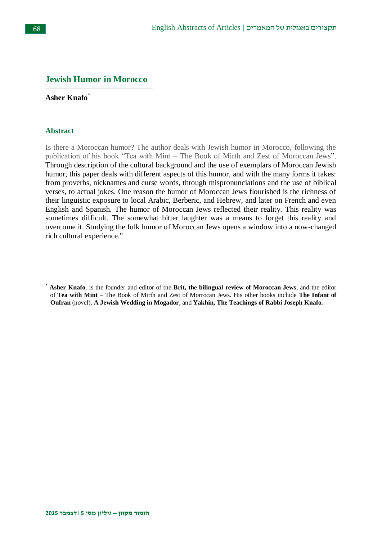## **Jewish Humor in Morocco**

## **Asher Knafo**\*

#### **Abstract**

Is there a Moroccan humor? The author deals with Jewish humor in Morocco, following the publication of his book "Tea with Mint – The Book of Mirth and Zest of Moroccan Jews". Through description of the cultural background and the use of exemplars of Moroccan Jewish humor, this paper deals with different aspects of this humor, and with the many forms it takes: from proverbs, nicknames and curse words, through mispronunciations and the use of biblical verses, to actual jokes. One reason the humor of Moroccan Jews flourished is the richness of their linguistic exposure to local Arabic, Berberic, and Hebrew, and later on French and even English and Spanish. The humor of Moroccan Jews reflected their reality. This reality was sometimes difficult. The somewhat bitter laughter was a means to forget this reality and overcome it. Studying the folk humor of Moroccan Jews opens a window into a now-changed rich cultural experience."

<sup>\*</sup> **Asher Knafo**, is the founder and editor of the **Brit, the bilingual review of Moroccan Jews**, and the editor of **Tea with Mint** – The Book of Mirth and Zest of Morrocan Jews. His other books include **The Infant of Oufran** (novel), **A Jewish Wedding in Mogador**, and **Yakhin, The Teachings of Rabbi Joseph Knafo.**